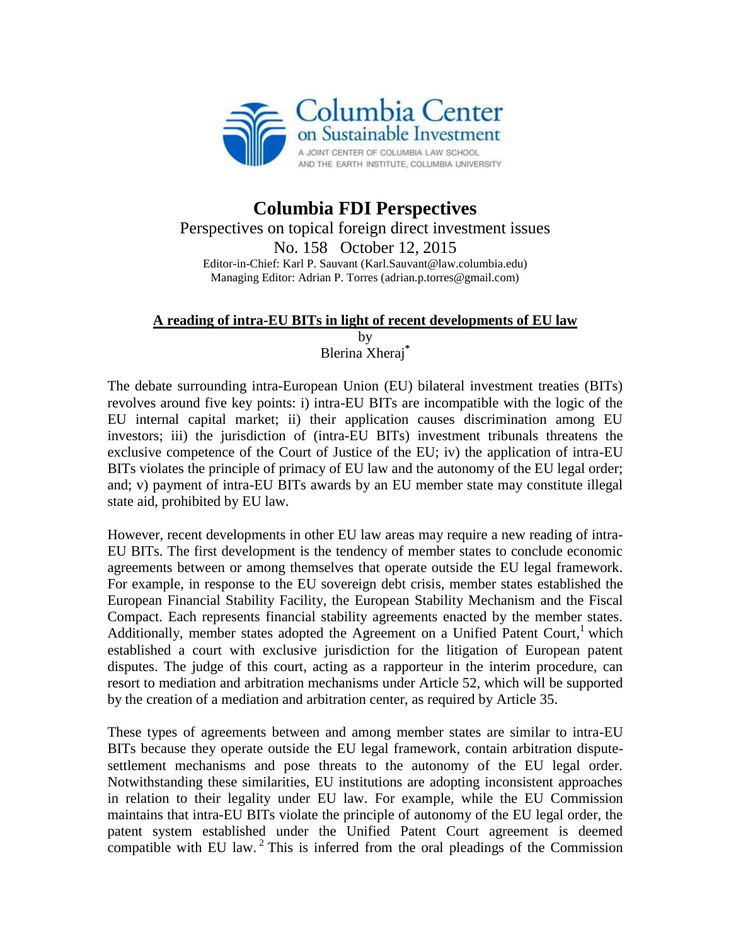

## **Columbia FDI Perspectives** Perspectives on topical foreign direct investment issues No. 158 October 12, 2015 Editor-in-Chief: Karl P. Sauvant (Karl.Sauvant@law.columbia.edu) Managing Editor: Adrian P. Torres (adrian.p.torres@gmail.com)

## **A reading of intra-EU BITs in light of recent developments of EU law**

by

Blerina Xheraj**\***

The debate surrounding intra-European Union (EU) bilateral investment treaties (BITs) revolves around five key points: i) intra-EU BITs are incompatible with the logic of the EU internal capital market; ii) their application causes discrimination among EU investors; iii) the jurisdiction of (intra-EU BITs) investment tribunals threatens the exclusive competence of the Court of Justice of the EU; iv) the application of intra-EU BITs violates the principle of primacy of EU law and the autonomy of the EU legal order; and; v) payment of intra-EU BITs awards by an EU member state may constitute illegal state aid, prohibited by EU law.

However, recent developments in other EU law areas may require a new reading of intra-EU BITs. The first development is the tendency of member states to conclude economic agreements between or among themselves that operate outside the EU legal framework. For example, in response to the EU sovereign debt crisis, member states established the European Financial Stability Facility, the European Stability Mechanism and the Fiscal Compact. Each represents financial stability agreements enacted by the member states. Additionally, member states adopted the Agreement on a Unified Patent Court,<sup>1</sup> which established a court with exclusive jurisdiction for the litigation of European patent disputes. The judge of this court, acting as a rapporteur in the interim procedure, can resort to mediation and arbitration mechanisms under Article 52, which will be supported by the creation of a mediation and arbitration center, as required by Article 35.

These types of agreements between and among member states are similar to intra-EU BITs because they operate outside the EU legal framework, contain arbitration disputesettlement mechanisms and pose threats to the autonomy of the EU legal order. Notwithstanding these similarities, EU institutions are adopting inconsistent approaches in relation to their legality under EU law. For example, while the EU Commission maintains that intra-EU BITs violate the principle of autonomy of the EU legal order, the patent system established under the Unified Patent Court agreement is deemed compatible with EU law.<sup>2</sup> This is inferred from the oral pleadings of the Commission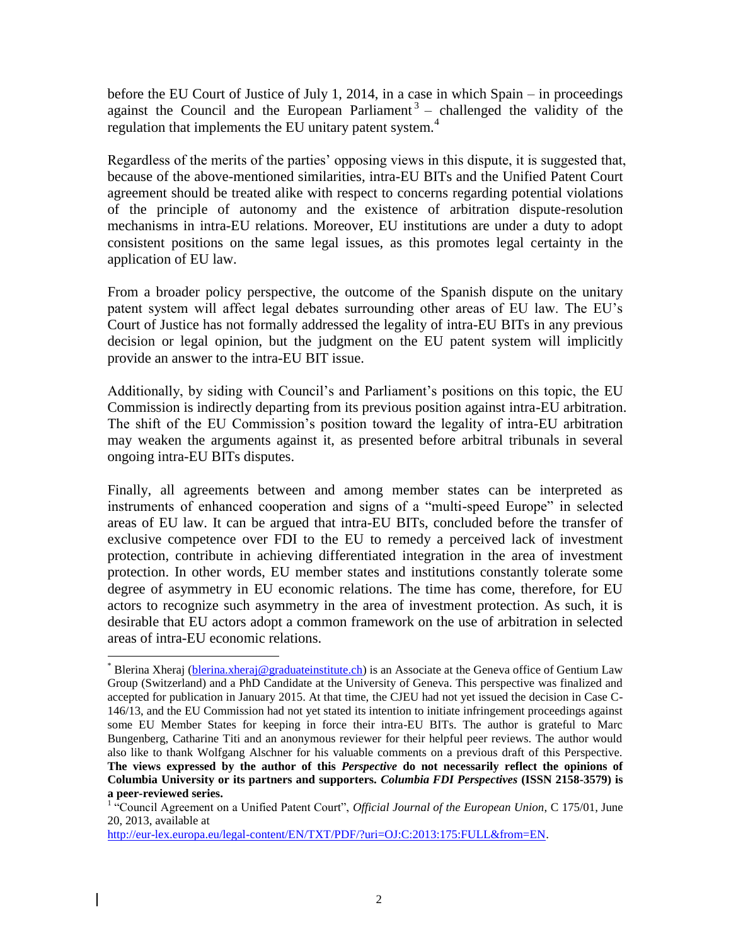before the EU Court of Justice of July 1, 2014, in a case in which Spain – in proceedings against the Council and the European Parliament<sup>3</sup> – challenged the validity of the regulation that implements the EU unitary patent system.<sup>4</sup>

Regardless of the merits of the parties' opposing views in this dispute, it is suggested that, because of the above-mentioned similarities, intra-EU BITs and the Unified Patent Court agreement should be treated alike with respect to concerns regarding potential violations of the principle of autonomy and the existence of arbitration dispute-resolution mechanisms in intra-EU relations. Moreover, EU institutions are under a duty to adopt consistent positions on the same legal issues, as this promotes legal certainty in the application of EU law.

From a broader policy perspective, the outcome of the Spanish dispute on the unitary patent system will affect legal debates surrounding other areas of EU law. The EU's Court of Justice has not formally addressed the legality of intra-EU BITs in any previous decision or legal opinion, but the judgment on the EU patent system will implicitly provide an answer to the intra-EU BIT issue.

Additionally, by siding with Council's and Parliament's positions on this topic, the EU Commission is indirectly departing from its previous position against intra-EU arbitration. The shift of the EU Commission's position toward the legality of intra-EU arbitration may weaken the arguments against it, as presented before arbitral tribunals in several ongoing intra-EU BITs disputes.

Finally, all agreements between and among member states can be interpreted as instruments of enhanced cooperation and signs of a "multi-speed Europe" in selected areas of EU law. It can be argued that intra-EU BITs, concluded before the transfer of exclusive competence over FDI to the EU to remedy a perceived lack of investment protection, contribute in achieving differentiated integration in the area of investment protection. In other words, EU member states and institutions constantly tolerate some degree of asymmetry in EU economic relations. The time has come, therefore, for EU actors to recognize such asymmetry in the area of investment protection. As such, it is desirable that EU actors adopt a common framework on the use of arbitration in selected areas of intra-EU economic relations.

[http://eur-lex.europa.eu/legal-content/EN/TXT/PDF/?uri=OJ:C:2013:175:FULL&from=EN.](http://eur-lex.europa.eu/legal-content/EN/TXT/PDF/?uri=OJ:C:2013:175:FULL&from=EN)

 $\overline{a}$ 

<sup>\*</sup> Blerina Xheraj [\(blerina.xheraj@graduateinstitute.ch\)](mailto:blerina.xheraj@graduateinstitute.ch) is an Associate at the Geneva office of Gentium Law Group (Switzerland) and a PhD Candidate at the University of Geneva. This perspective was finalized and accepted for publication in January 2015. At that time, the CJEU had not yet issued the decision in Case C-146/13, and the EU Commission had not yet stated its intention to initiate infringement proceedings against some EU Member States for keeping in force their intra-EU BITs. The author is grateful to Marc Bungenberg, Catharine Titi and an anonymous reviewer for their helpful peer reviews. The author would also like to thank Wolfgang Alschner for his valuable comments on a previous draft of this Perspective. **The views expressed by the author of this** *Perspective* **do not necessarily reflect the opinions of Columbia University or its partners and supporters.** *Columbia FDI Perspectives* **(ISSN 2158-3579) is a peer-reviewed series.**

<sup>&</sup>lt;sup>1</sup> "Council Agreement on a Unified Patent Court", *Official Journal of the European Union*, C 175/01, June 20, 2013, available at